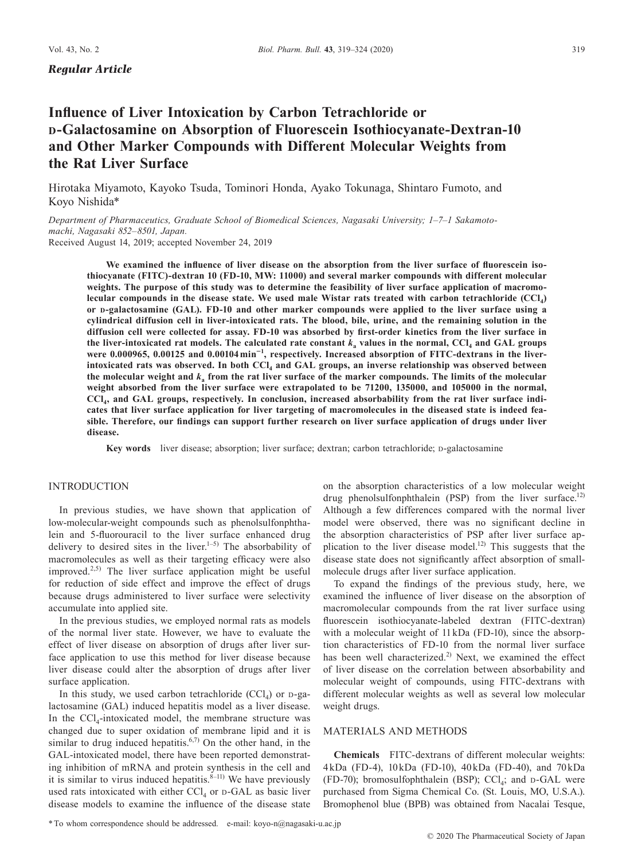*Regular Article*

# **Influence of Liver Intoxication by Carbon Tetrachloride or <sup>D</sup>-Galactosamine on Absorption of Fluorescein Isothiocyanate-Dextran-10 and Other Marker Compounds with Different Molecular Weights from the Rat Liver Surface**

Hirotaka Miyamoto, Kayoko Tsuda, Tominori Honda, Ayako Tokunaga, Shintaro Fumoto, and Koyo Nishida\*

*Department of Pharmaceutics, Graduate School of Biomedical Sciences, Nagasaki University; 1–7–1 Sakamotomachi, Nagasaki 852–8501, Japan.* Received August 14, 2019; accepted November 24, 2019

**We examined the influence of liver disease on the absorption from the liver surface of fluorescein isothiocyanate (FITC)-dextran 10 (FD-10, MW: 11000) and several marker compounds with different molecular weights. The purpose of this study was to determine the feasibility of liver surface application of macromolecular compounds in the disease state. We used male Wistar rats treated with carbon tetrachloride (CCl4) or D-galactosamine (GAL). FD-10 and other marker compounds were applied to the liver surface using a cylindrical diffusion cell in liver-intoxicated rats. The blood, bile, urine, and the remaining solution in the diffusion cell were collected for assay. FD-10 was absorbed by first-order kinetics from the liver surface in**  the liver-intoxicated rat models. The calculated rate constant  $k_a$  values in the normal, CCl<sub>4</sub> and GAL groups **were 0.000965, 0.00125 and 0.00104 min**<sup>−</sup>**<sup>1</sup> , respectively. Increased absorption of FITC-dextrans in the liverintoxicated rats was observed. In both CCl4 and GAL groups, an inverse relationship was observed between the molecular weight and** *k***a from the rat liver surface of the marker compounds. The limits of the molecular weight absorbed from the liver surface were extrapolated to be 71200, 135000, and 105000 in the normal, CCl4, and GAL groups, respectively. In conclusion, increased absorbability from the rat liver surface indicates that liver surface application for liver targeting of macromolecules in the diseased state is indeed feasible. Therefore, our findings can support further research on liver surface application of drugs under liver disease.**

Key words liver disease; absorption; liver surface; dextran; carbon tetrachloride; p-galactosamine

# INTRODUCTION

In previous studies, we have shown that application of low-molecular-weight compounds such as phenolsulfonphthalein and 5-fluorouracil to the liver surface enhanced drug delivery to desired sites in the liver.<sup>1–5)</sup> The absorbability of macromolecules as well as their targeting efficacy were also improved.<sup>2,5)</sup> The liver surface application might be useful for reduction of side effect and improve the effect of drugs because drugs administered to liver surface were selectivity accumulate into applied site.

In the previous studies, we employed normal rats as models of the normal liver state. However, we have to evaluate the effect of liver disease on absorption of drugs after liver surface application to use this method for liver disease because liver disease could alter the absorption of drugs after liver surface application.

In this study, we used carbon tetrachloride  $(CCl<sub>4</sub>)$  or D-galactosamine (GAL) induced hepatitis model as a liver disease. In the  $\text{CCl}_4$ -intoxicated model, the membrane structure was changed due to super oxidation of membrane lipid and it is similar to drug induced hepatitis.<sup>6,7)</sup> On the other hand, in the GAL-intoxicated model, there have been reported demonstrating inhibition of mRNA and protein synthesis in the cell and it is similar to virus induced hepatitis. $8-11$ ) We have previously used rats intoxicated with either  $\text{CC}l_{4}$  or  $p$ -GAL as basic liver disease models to examine the influence of the disease state

on the absorption characteristics of a low molecular weight drug phenolsulfonphthalein (PSP) from the liver surface.<sup>12)</sup> Although a few differences compared with the normal liver model were observed, there was no significant decline in the absorption characteristics of PSP after liver surface application to the liver disease model.<sup>12)</sup> This suggests that the disease state does not significantly affect absorption of smallmolecule drugs after liver surface application.

To expand the findings of the previous study, here, we examined the influence of liver disease on the absorption of macromolecular compounds from the rat liver surface using fluorescein isothiocyanate-labeled dextran (FITC-dextran) with a molecular weight of 11 kDa (FD-10), since the absorption characteristics of FD-10 from the normal liver surface has been well characterized.<sup>2)</sup> Next, we examined the effect of liver disease on the correlation between absorbability and molecular weight of compounds, using FITC-dextrans with different molecular weights as well as several low molecular weight drugs.

# MATERIALS AND METHODS

**Chemicals** FITC-dextrans of different molecular weights: 4 kDa (FD-4), 10 kDa (FD-10), 40 kDa (FD-40), and 70 kDa (FD-70); bromosulfophthalein (BSP);  $CCl<sub>4</sub>$ ; and  $D-GAL$  were purchased from Sigma Chemical Co. (St. Louis, MO, U.S.A.). Bromophenol blue (BPB) was obtained from Nacalai Tesque,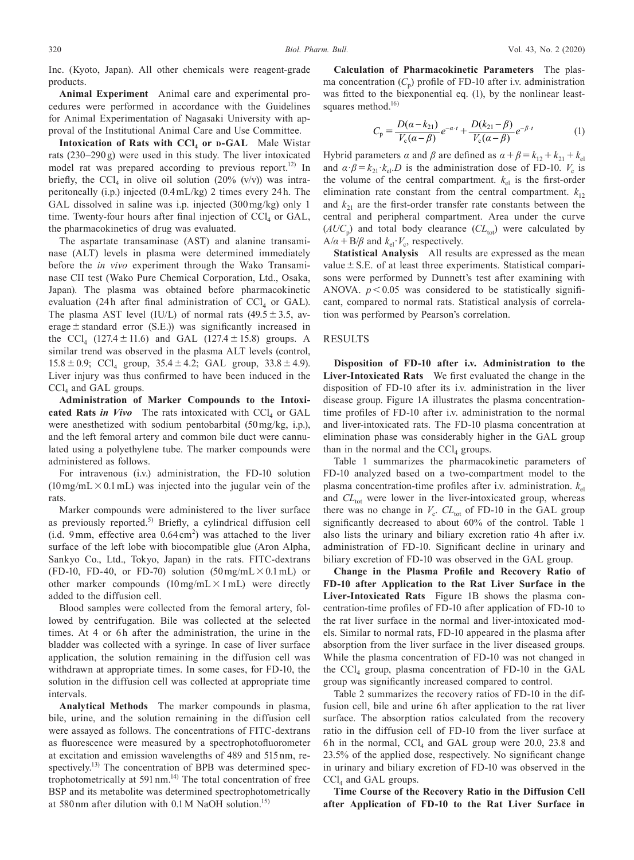Inc. (Kyoto, Japan). All other chemicals were reagent-grade products.

**Animal Experiment** Animal care and experimental procedures were performed in accordance with the Guidelines for Animal Experimentation of Nagasaki University with approval of the Institutional Animal Care and Use Committee.

**Intoxication of Rats with CCl4 or D-GAL** Male Wistar rats (230–290 g) were used in this study. The liver intoxicated model rat was prepared according to previous report.<sup>12)</sup> In briefly, the CCl<sub>4</sub> in olive oil solution (20% (v/v)) was intraperitoneally (i.p.) injected (0.4 mL/kg) 2 times every 24 h. The GAL dissolved in saline was i.p. injected (300 mg/kg) only 1 time. Twenty-four hours after final injection of  $\text{CC}l_{4}$  or GAL, the pharmacokinetics of drug was evaluated.

The aspartate transaminase (AST) and alanine transaminase (ALT) levels in plasma were determined immediately before the *in vivo* experiment through the Wako Transaminase CII test (Wako Pure Chemical Corporation, Ltd., Osaka, Japan). The plasma was obtained before pharmacokinetic evaluation (24h after final administration of  $\text{CCl}_4$  or GAL). The plasma AST level (IU/L) of normal rats  $(49.5 \pm 3.5, \text{av-}$ erage  $\pm$  standard error (S.E.)) was significantly increased in the CCl<sub>4</sub> (127.4  $\pm$  11.6) and GAL (127.4  $\pm$  15.8) groups. A similar trend was observed in the plasma ALT levels (control,  $15.8 \pm 0.9$ ; CCl<sub>4</sub> group,  $35.4 \pm 4.2$ ; GAL group,  $33.8 \pm 4.9$ ). Liver injury was thus confirmed to have been induced in the  $\text{CCl}_4$  and GAL groups.

**Administration of Marker Compounds to the Intoxi**cated Rats *in Vivo* The rats intoxicated with CCl<sub>4</sub> or GAL were anesthetized with sodium pentobarbital (50 mg/kg, i.p.), and the left femoral artery and common bile duct were cannulated using a polyethylene tube. The marker compounds were administered as follows.

For intravenous (i.v.) administration, the FD-10 solution  $(10 \text{ mg/mL} \times 0.1 \text{ mL})$  was injected into the jugular vein of the rats.

Marker compounds were administered to the liver surface as previously reported.<sup>5)</sup> Briefly, a cylindrical diffusion cell  $(i.d. 9mm, effective area 0.64 cm<sup>2</sup>)$  was attached to the liver surface of the left lobe with biocompatible glue (Aron Alpha, Sankyo Co., Ltd., Tokyo, Japan) in the rats. FITC-dextrans (FD-10, FD-40, or FD-70) solution  $(50 \text{ mg/mL} \times 0.1 \text{ mL})$  or other marker compounds  $(10 \text{ mg/mL} \times 1 \text{ mL})$  were directly added to the diffusion cell.

Blood samples were collected from the femoral artery, followed by centrifugation. Bile was collected at the selected times. At 4 or 6h after the administration, the urine in the bladder was collected with a syringe. In case of liver surface application, the solution remaining in the diffusion cell was withdrawn at appropriate times. In some cases, for FD-10, the solution in the diffusion cell was collected at appropriate time intervals.

**Analytical Methods** The marker compounds in plasma, bile, urine, and the solution remaining in the diffusion cell were assayed as follows. The concentrations of FITC-dextrans as fluorescence were measured by a spectrophotofluorometer at excitation and emission wavelengths of 489 and 515 nm, respectively.<sup>13)</sup> The concentration of BPB was determined spectrophotometrically at 591 nm. $^{14)}$  The total concentration of free BSP and its metabolite was determined spectrophotometrically at 580 nm after dilution with 0.1 M NaOH solution.<sup>15)</sup>

**Calculation of Pharmacokinetic Parameters** The plasma concentration  $(C_n)$  profile of FD-10 after i.v. administration was fitted to the biexponential eq. (1), by the nonlinear leastsquares method. $16$ 

$$
C_{\rm p} = \frac{D(\alpha - k_{21})}{V_{\rm c}(\alpha - \beta)} e^{-\alpha \cdot t} + \frac{D(k_{21} - \beta)}{V_{\rm c}(\alpha - \beta)} e^{-\beta \cdot t}
$$
 (1)

Hybrid parameters *α* and *β* are defined as  $α + β = k_{12} + k_{21} + k_{el}$ and  $\alpha \cdot \beta = k_{21} \cdot k_{el} D$  is the administration dose of FD-10.  $V_c$  is the volume of the central compartment.  $k<sub>el</sub>$  is the first-order elimination rate constant from the central compartment.  $k_{12}$ and  $k_{21}$  are the first-order transfer rate constants between the central and peripheral compartment. Area under the curve  $(AUC<sub>p</sub>)$  and total body clearance  $CL<sub>tot</sub>$  were calculated by  $A/\alpha + B/\beta$  and  $k_{el} \cdot V_c$ , respectively.

**Statistical Analysis** All results are expressed as the mean value  $\pm$  S.E. of at least three experiments. Statistical comparisons were performed by Dunnett's test after examining with ANOVA.  $p < 0.05$  was considered to be statistically significant, compared to normal rats. Statistical analysis of correlation was performed by Pearson's correlation.

#### RESULTS

**Disposition of FD-10 after i.v. Administration to the Liver-Intoxicated Rats** We first evaluated the change in the disposition of FD-10 after its i.v. administration in the liver disease group. Figure 1A illustrates the plasma concentrationtime profiles of FD-10 after i.v. administration to the normal and liver-intoxicated rats. The FD-10 plasma concentration at elimination phase was considerably higher in the GAL group than in the normal and the  $\text{CCl}_4$  groups.

Table 1 summarizes the pharmacokinetic parameters of FD-10 analyzed based on a two-compartment model to the plasma concentration-time profiles after i.v. administration.  $k_{el}$ and *CL*<sub>tot</sub> were lower in the liver-intoxicated group, whereas there was no change in  $V_c$ .  $CL_{tot}$  of FD-10 in the GAL group significantly decreased to about 60% of the control. Table 1 also lists the urinary and biliary excretion ratio 4h after i.v. administration of FD-10. Significant decline in urinary and biliary excretion of FD-10 was observed in the GAL group.

**Change in the Plasma Profile and Recovery Ratio of FD-10 after Application to the Rat Liver Surface in the Liver-Intoxicated Rats** Figure 1B shows the plasma concentration-time profiles of FD-10 after application of FD-10 to the rat liver surface in the normal and liver-intoxicated models. Similar to normal rats, FD-10 appeared in the plasma after absorption from the liver surface in the liver diseased groups. While the plasma concentration of FD-10 was not changed in the  $CCl<sub>4</sub>$  group, plasma concentration of FD-10 in the GAL group was significantly increased compared to control.

Table 2 summarizes the recovery ratios of FD-10 in the diffusion cell, bile and urine 6h after application to the rat liver surface. The absorption ratios calculated from the recovery ratio in the diffusion cell of FD-10 from the liver surface at 6h in the normal,  $\text{CCl}_4$  and GAL group were 20.0, 23.8 and 23.5% of the applied dose, respectively. No significant change in urinary and biliary excretion of FD-10 was observed in the  $CCl<sub>4</sub>$  and GAL groups.

**Time Course of the Recovery Ratio in the Diffusion Cell after Application of FD-10 to the Rat Liver Surface in**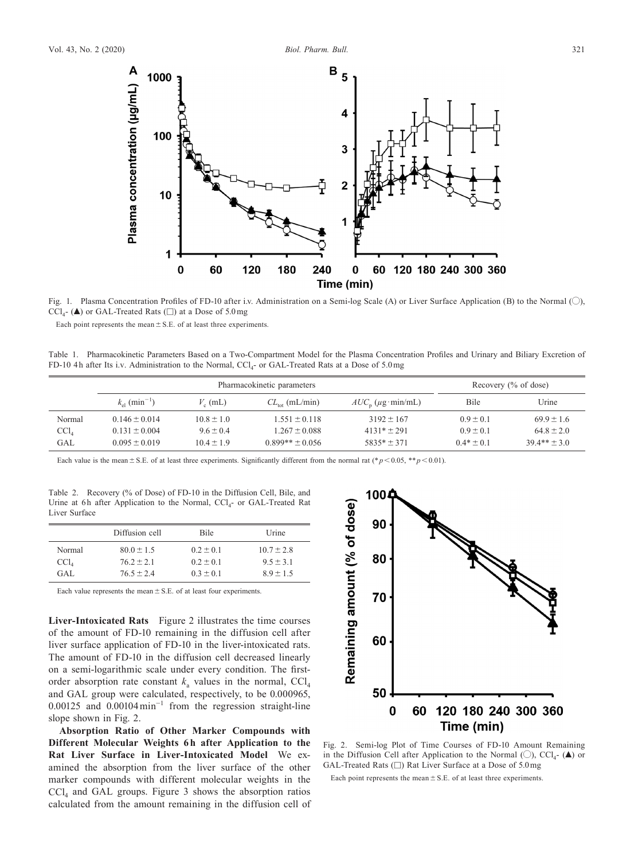

Fig. 1. Plasma Concentration Profiles of FD-10 after i.v. Administration on a Semi-log Scale (A) or Liver Surface Application (B) to the Normal (O),  $\text{CCl}_{4}$ - ( $\blacktriangle$ ) or GAL-Treated Rats ( $\square$ ) at a Dose of 5.0 mg

240

 $\bf{0}$ 

Time (min)

Each point represents the mean  $\pm$  S.E. of at least three experiments.

 $\boldsymbol{0}$ 

60

120

180

Plasma concentration (µg/mL) >

Table 1. Pharmacokinetic Parameters Based on a Two-Compartment Model for the Plasma Concentration Profiles and Urinary and Biliary Excretion of FD-10 4h after Its i.v. Administration to the Normal,  $CCl<sub>4</sub>$ - or GAL-Treated Rats at a Dose of 5.0 mg

|                            | Pharmacokinetic parameters        |                  |                     |                     | Recovery (% of dose) |                  |
|----------------------------|-----------------------------------|------------------|---------------------|---------------------|----------------------|------------------|
|                            | $k_{\rm el}$ (min <sup>-1</sup> ) | $V_{\rm g}$ (mL) | $CL_{tot}$ (mL/min) | $AUC_n$ (µg·min/mL) | Bile                 | Urine            |
| Normal                     | $0.146 \pm 0.014$                 | $10.8 \pm 1.0$   | $1.551 \pm 0.118$   | $3192 \pm 167$      | $0.9 \pm 0.1$        | $69.9 \pm 1.6$   |
| $\text{CC}$ l <sub>4</sub> | $0.131 \pm 0.004$                 | $9.6 \pm 0.4$    | $1.267 \pm 0.088$   | $4131* \pm 291$     | $0.9 \pm 0.1$        | $64.8 \pm 2.0$   |
| GAL                        | $0.095 \pm 0.019$                 | $10.4 \pm 1.9$   | $0.899** \pm 0.056$ | $5835* + 371$       | $0.4* + 0.1$         | $39.4** \pm 3.0$ |

Each value is the mean  $\pm$  S.E. of at least three experiments. Significantly different from the normal rat (\* $p$  < 0.05, \*\*  $p$  < 0.01).

Table 2. Recovery (% of Dose) of FD-10 in the Diffusion Cell, Bile, and Urine at 6h after Application to the Normal,  $CCl<sub>4</sub>$ - or GAL-Treated Rat Liver Surface

|                | Diffusion cell | <b>Bile</b>   | Urine          |
|----------------|----------------|---------------|----------------|
| Normal         | $80.0 \pm 1.5$ | $0.2 \pm 0.1$ | $10.7 \pm 2.8$ |
| $\text{CCl}_4$ | $762 + 21$     | $0.2 \pm 0.1$ | $9.5 \pm 3.1$  |
| GAL.           | $765 + 24$     | $0.3 \pm 0.1$ | $89 + 15$      |

Each value represents the mean  $\pm$  S.E. of at least four experiments.

**Liver-Intoxicated Rats** Figure 2 illustrates the time courses of the amount of FD-10 remaining in the diffusion cell after liver surface application of FD-10 in the liver-intoxicated rats. The amount of FD-10 in the diffusion cell decreased linearly on a semi-logarithmic scale under every condition. The firstorder absorption rate constant  $k_a$  values in the normal,  $CCl_4$ and GAL group were calculated, respectively, to be 0.000965, 0.00125 and 0.00104 min<sup>−</sup><sup>1</sup> from the regression straight-line slope shown in Fig. 2.

**Absorption Ratio of Other Marker Compounds with Different Molecular Weights 6h after Application to the Rat Liver Surface in Liver-Intoxicated Model** We examined the absorption from the liver surface of the other marker compounds with different molecular weights in the  $\text{CCl}_4$  and GAL groups. Figure 3 shows the absorption ratios calculated from the amount remaining in the diffusion cell of



60 120 180 240 300 360

Fig. 2. Semi-log Plot of Time Courses of FD-10 Amount Remaining in the Diffusion Cell after Application to the Normal  $(\bigcirc)$ , CCl<sub>4</sub>- ( $\blacktriangle$ ) or GAL-Treated Rats (□) Rat Liver Surface at a Dose of 5.0 mg

Each point represents the mean  $\pm$  S.E. of at least three experiments.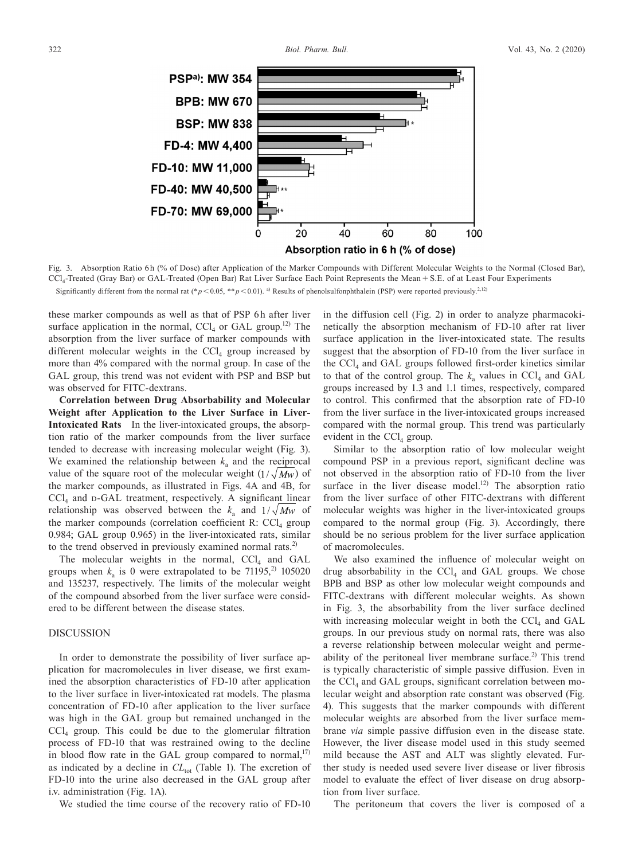

Fig. 3. Absorption Ratio 6h (% of Dose) after Application of the Marker Compounds with Different Molecular Weights to the Normal (Closed Bar), CCl4-Treated (Gray Bar) or GAL-Treated (Open Bar) Rat Liver Surface Each Point Represents the Mean + S.E. of at Least Four Experiments Significantly different from the normal rat (\* $p$ < 0.05, \*\* $p$ < 0.01). <sup>a)</sup> Results of phenolsulfonphthalein (PSP) were reported previously.<sup>2,12)</sup>

these marker compounds as well as that of PSP 6h after liver surface application in the normal,  $CCl<sub>4</sub>$  or GAL group.<sup>12)</sup> The absorption from the liver surface of marker compounds with different molecular weights in the  $\text{CCl}_4$  group increased by more than 4% compared with the normal group. In case of the GAL group, this trend was not evident with PSP and BSP but was observed for FITC-dextrans.

**Correlation between Drug Absorbability and Molecular Weight after Application to the Liver Surface in Liver-Intoxicated Rats** In the liver-intoxicated groups, the absorption ratio of the marker compounds from the liver surface tended to decrease with increasing molecular weight (Fig. 3). We examined the relationship between  $k_a$  and the reciprocal value of the square root of the molecular weight  $(1/\sqrt{M_W})$  of the marker compounds, as illustrated in Figs. 4A and 4B, for  $CCl<sub>4</sub>$  and  $D$ -GAL treatment, respectively. A significant linear relationship was observed between the  $k_a$  and  $1/\sqrt{Mw}$  of the marker compounds (correlation coefficient R:  $CCl<sub>4</sub>$  group 0.984; GAL group 0.965) in the liver-intoxicated rats, similar to the trend observed in previously examined normal rats.<sup>2)</sup>

The molecular weights in the normal,  $CCl<sub>4</sub>$  and GAL groups when  $k_a$  is 0 were extrapolated to be 71195,<sup>2)</sup> 105020 and 135237, respectively. The limits of the molecular weight of the compound absorbed from the liver surface were considered to be different between the disease states.

# DISCUSSION

In order to demonstrate the possibility of liver surface application for macromolecules in liver disease, we first examined the absorption characteristics of FD-10 after application to the liver surface in liver-intoxicated rat models. The plasma concentration of FD-10 after application to the liver surface was high in the GAL group but remained unchanged in the  $\text{CC}l_{4}$  group. This could be due to the glomerular filtration process of FD-10 that was restrained owing to the decline in blood flow rate in the GAL group compared to normal, $^{17}$ ) as indicated by a decline in  $CL_{tot}$  (Table 1). The excretion of FD-10 into the urine also decreased in the GAL group after i.v. administration (Fig. 1A).

We studied the time course of the recovery ratio of FD-10

in the diffusion cell (Fig. 2) in order to analyze pharmacokinetically the absorption mechanism of FD-10 after rat liver surface application in the liver-intoxicated state. The results suggest that the absorption of FD-10 from the liver surface in the  $\text{CCL}_4$  and GAL groups followed first-order kinetics similar to that of the control group. The  $k_a$  values in CCl<sub>4</sub> and GAL groups increased by 1.3 and 1.1 times, respectively, compared to control. This confirmed that the absorption rate of FD-10 from the liver surface in the liver-intoxicated groups increased compared with the normal group. This trend was particularly evident in the  $\text{CCl}_4$  group.

Similar to the absorption ratio of low molecular weight compound PSP in a previous report, significant decline was not observed in the absorption ratio of FD-10 from the liver surface in the liver disease model.<sup>12)</sup> The absorption ratio from the liver surface of other FITC-dextrans with different molecular weights was higher in the liver-intoxicated groups compared to the normal group (Fig. 3). Accordingly, there should be no serious problem for the liver surface application of macromolecules.

We also examined the influence of molecular weight on drug absorbability in the  $CCl<sub>4</sub>$  and GAL groups. We chose BPB and BSP as other low molecular weight compounds and FITC-dextrans with different molecular weights. As shown in Fig. 3, the absorbability from the liver surface declined with increasing molecular weight in both the  $\text{CCI}_4$  and  $\text{GAL}$ groups. In our previous study on normal rats, there was also a reverse relationship between molecular weight and permeability of the peritoneal liver membrane surface.<sup>2)</sup> This trend is typically characteristic of simple passive diffusion. Even in the  $\text{CCl}_4$  and GAL groups, significant correlation between molecular weight and absorption rate constant was observed (Fig. 4). This suggests that the marker compounds with different molecular weights are absorbed from the liver surface membrane *via* simple passive diffusion even in the disease state. However, the liver disease model used in this study seemed mild because the AST and ALT was slightly elevated. Further study is needed used severe liver disease or liver fibrosis model to evaluate the effect of liver disease on drug absorption from liver surface.

The peritoneum that covers the liver is composed of a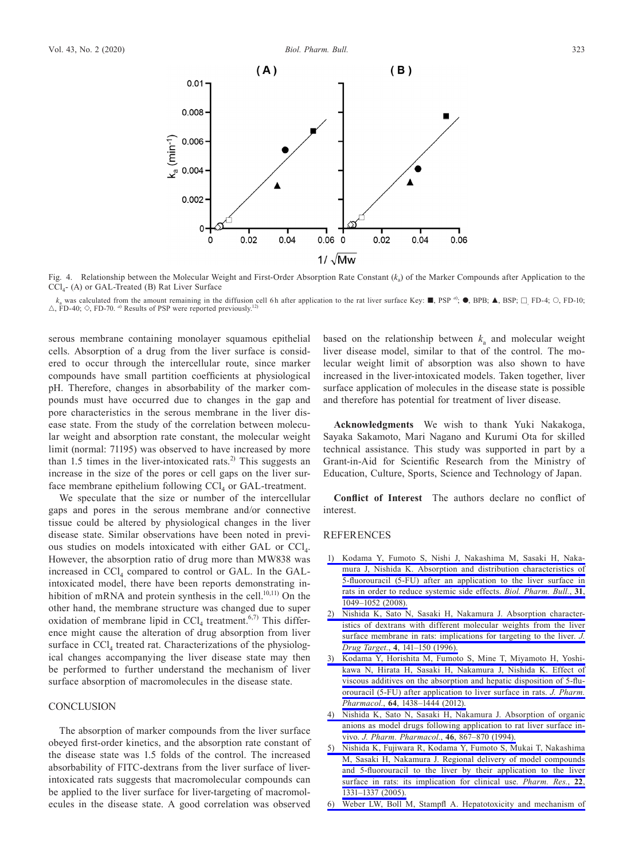

Fig. 4. Relationship between the Molecular Weight and First-Order Absorption Rate Constant (*k<sub>a</sub>*) of the Marker Compounds after Application to the CCl4- (A) or GAL-Treated (B) Rat Liver Surface

 $k_a$  was calculated from the amount remaining in the diffusion cell 6h after application to the rat liver surface Key:  $\blacksquare$ , PSP  $a_i$ ,  $\blacksquare$ , BSP;  $\square$ , FD-4;  $\bigcirc$ , FD-10;  $\triangle$ , FD-40;  $\diamond$ , FD-70. <sup>a)</sup> Results of PSP were reported previously.<sup>12)</sup>

serous membrane containing monolayer squamous epithelial cells. Absorption of a drug from the liver surface is considered to occur through the intercellular route, since marker compounds have small partition coefficients at physiological pH. Therefore, changes in absorbability of the marker compounds must have occurred due to changes in the gap and pore characteristics in the serous membrane in the liver disease state. From the study of the correlation between molecular weight and absorption rate constant, the molecular weight limit (normal: 71195) was observed to have increased by more than 1.5 times in the liver-intoxicated rats.<sup>2)</sup> This suggests an increase in the size of the pores or cell gaps on the liver surface membrane epithelium following  $\text{CCl}_4$  or GAL-treatment.

We speculate that the size or number of the intercellular gaps and pores in the serous membrane and/or connective tissue could be altered by physiological changes in the liver disease state. Similar observations have been noted in previous studies on models intoxicated with either GAL or CCl<sub>4</sub>. However, the absorption ratio of drug more than MW838 was increased in  $CCl_4$  compared to control or GAL. In the GALintoxicated model, there have been reports demonstrating inhibition of mRNA and protein synthesis in the cell.<sup>10,11)</sup> On the other hand, the membrane structure was changed due to super oxidation of membrane lipid in  $CCl_4$  treatment.<sup>6,7)</sup> This difference might cause the alteration of drug absorption from liver surface in  $\text{CC}l_{4}$  treated rat. Characterizations of the physiological changes accompanying the liver disease state may then be performed to further understand the mechanism of liver surface absorption of macromolecules in the disease state.

# **CONCLUSION**

The absorption of marker compounds from the liver surface obeyed first-order kinetics, and the absorption rate constant of the disease state was 1.5 folds of the control. The increased absorbability of FITC-dextrans from the liver surface of liverintoxicated rats suggests that macromolecular compounds can be applied to the liver surface for liver-targeting of macromolecules in the disease state. A good correlation was observed

based on the relationship between  $k_a$  and molecular weight liver disease model, similar to that of the control. The molecular weight limit of absorption was also shown to have increased in the liver-intoxicated models. Taken together, liver surface application of molecules in the disease state is possible and therefore has potential for treatment of liver disease.

**Acknowledgments** We wish to thank Yuki Nakakoga, Sayaka Sakamoto, Mari Nagano and Kurumi Ota for skilled technical assistance. This study was supported in part by a Grant-in-Aid for Scientific Research from the Ministry of Education, Culture, Sports, Science and Technology of Japan.

**Conflict of Interest** The authors declare no conflict of interest.

### REFERENCES

- [1\) Kodama Y, Fumoto S, Nishi J, Nakashima M, Sasaki H, Naka](http://dx.doi.org/10.1248/bpb.31.1049)[mura J, Nishida K. Absorption and distribution characteristics of](http://dx.doi.org/10.1248/bpb.31.1049)  [5-fluorouracil \(5-FU\) after an application to the liver surface in](http://dx.doi.org/10.1248/bpb.31.1049)  [rats in order to reduce systemic side effects.](http://dx.doi.org/10.1248/bpb.31.1049) *Biol. Pharm. Bull.*, **31**, [1049–1052 \(2008\).](http://dx.doi.org/10.1248/bpb.31.1049)
- [2\) Nishida K, Sato N, Sasaki H, Nakamura J. Absorption character](http://dx.doi.org/10.3109/10611869609015971)[istics of dextrans with different molecular weights from the liver](http://dx.doi.org/10.3109/10611869609015971)  [surface membrane in rats: implications for targeting to the liver.](http://dx.doi.org/10.3109/10611869609015971) *J. Drug Target.*, **4**[, 141–150 \(1996\).](http://dx.doi.org/10.3109/10611869609015971)
- [3\) Kodama Y, Horishita M, Fumoto S, Mine T, Miyamoto H, Yoshi](http://dx.doi.org/10.1111/j.2042-7158.2012.01514.x)[kawa N, Hirata H, Sasaki H, Nakamura J, Nishida K. Effect of](http://dx.doi.org/10.1111/j.2042-7158.2012.01514.x)  [viscous additives on the absorption and hepatic disposition of 5-flu](http://dx.doi.org/10.1111/j.2042-7158.2012.01514.x)[orouracil \(5-FU\) after application to liver surface in rats.](http://dx.doi.org/10.1111/j.2042-7158.2012.01514.x) *J. Pharm. Pharmacol.*, **64**[, 1438–1444 \(2012\).](http://dx.doi.org/10.1111/j.2042-7158.2012.01514.x)
- [4\) Nishida K, Sato N, Sasaki H, Nakamura J. Absorption of organic](http://dx.doi.org/10.1111/j.2042-7158.1994.tb05704.x)  [anions as model drugs following application to rat liver surface in](http://dx.doi.org/10.1111/j.2042-7158.1994.tb05704.x)vivo. *[J. Pharm. Pharmacol.](http://dx.doi.org/10.1111/j.2042-7158.1994.tb05704.x)*, **46**, 867–870 (1994).
- [5\) Nishida K, Fujiwara R, Kodama Y, Fumoto S, Mukai T, Nakashima](http://dx.doi.org/10.1007/s11095-005-5273-9)  [M, Sasaki H, Nakamura J. Regional delivery of model compounds](http://dx.doi.org/10.1007/s11095-005-5273-9)  [and 5-fluorouracil to the liver by their application to the liver](http://dx.doi.org/10.1007/s11095-005-5273-9)  [surface in rats: its implication for clinical use.](http://dx.doi.org/10.1007/s11095-005-5273-9) *Pharm. Res.*, **22**, [1331–1337 \(2005\).](http://dx.doi.org/10.1007/s11095-005-5273-9)
- [6\) Weber LW, Boll M, Stampfl A. Hepatotoxicity and mechanism of](http://dx.doi.org/10.1080/713611034)